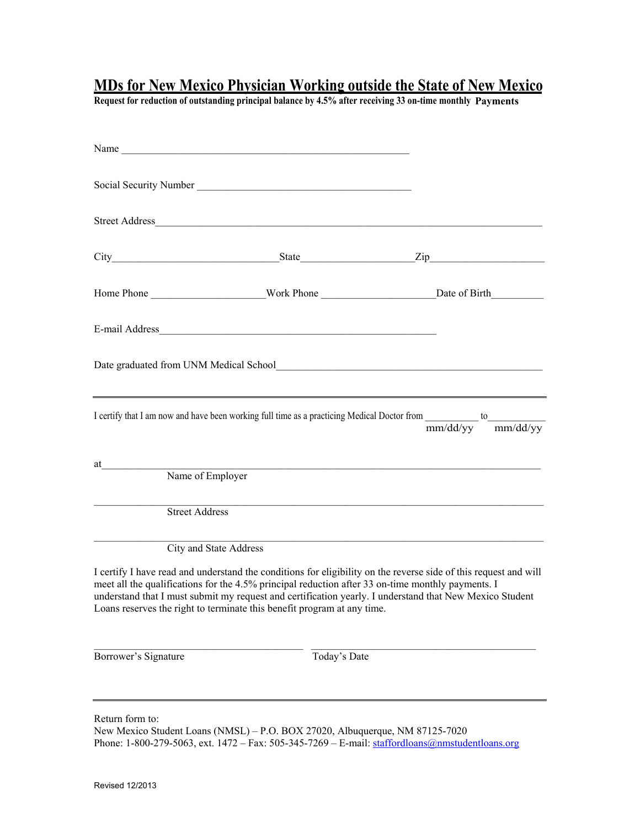**Request for reduction of outstanding principal balance by 4.5% after receiving 33 on-time monthly Payments**

|                                                                                                                                                                                                                                                    | Name                                                                                                                                                                                                                                                                                    |                                                                                                                                          |
|----------------------------------------------------------------------------------------------------------------------------------------------------------------------------------------------------------------------------------------------------|-----------------------------------------------------------------------------------------------------------------------------------------------------------------------------------------------------------------------------------------------------------------------------------------|------------------------------------------------------------------------------------------------------------------------------------------|
|                                                                                                                                                                                                                                                    |                                                                                                                                                                                                                                                                                         |                                                                                                                                          |
|                                                                                                                                                                                                                                                    |                                                                                                                                                                                                                                                                                         |                                                                                                                                          |
|                                                                                                                                                                                                                                                    |                                                                                                                                                                                                                                                                                         |                                                                                                                                          |
|                                                                                                                                                                                                                                                    |                                                                                                                                                                                                                                                                                         |                                                                                                                                          |
|                                                                                                                                                                                                                                                    |                                                                                                                                                                                                                                                                                         |                                                                                                                                          |
| Date graduated from UNM Medical School<br><u>Leader and Contract and Contract and Contract and Contract and Contract and</u> Contract and Contract and Contract and Contract and Contract and Contract and Contract and Contract and               |                                                                                                                                                                                                                                                                                         |                                                                                                                                          |
|                                                                                                                                                                                                                                                    |                                                                                                                                                                                                                                                                                         | I certify that I am now and have been working full time as a practicing Medical Doctor from $\frac{1}{mm/dd/yy}$ to $\frac{1}{mm/dd/yy}$ |
| at the contract of the contract of the contract of the contract of the contract of the contract of the contract of the contract of the contract of the contract of the contract of the contract of the contract of the contrac<br>Name of Employer |                                                                                                                                                                                                                                                                                         |                                                                                                                                          |
|                                                                                                                                                                                                                                                    |                                                                                                                                                                                                                                                                                         | <u> 1989 - Johann Stoff, deutscher Stoff, der Stoff, der Stoff, der Stoff, der Stoff, der Stoff, der Stoff, der S</u>                    |
| <b>Street Address</b>                                                                                                                                                                                                                              |                                                                                                                                                                                                                                                                                         |                                                                                                                                          |
|                                                                                                                                                                                                                                                    | <b>City and State Address</b>                                                                                                                                                                                                                                                           | <u> 1989 - Johann Stoff, amerikansk politiker (d. 1989)</u>                                                                              |
|                                                                                                                                                                                                                                                    | meet all the qualifications for the 4.5% principal reduction after 33 on-time monthly payments. I<br>understand that I must submit my request and certification yearly. I understand that New Mexico Student<br>Loans reserves the right to terminate this benefit program at any time. | I certify I have read and understand the conditions for eligibility on the reverse side of this request and will                         |
| Borrower's Signature                                                                                                                                                                                                                               | Today's Date                                                                                                                                                                                                                                                                            |                                                                                                                                          |
|                                                                                                                                                                                                                                                    |                                                                                                                                                                                                                                                                                         |                                                                                                                                          |

Return form to: New Mexico Student Loans (NMSL) – P.O. BOX 27020, Albuquerque, NM 87125-7020 Phone: 1-800-279-5063, ext. 1472 – Fax: 505-345-7269 – E-mail: <u>staffordloans@nmstudentloans.org</u>